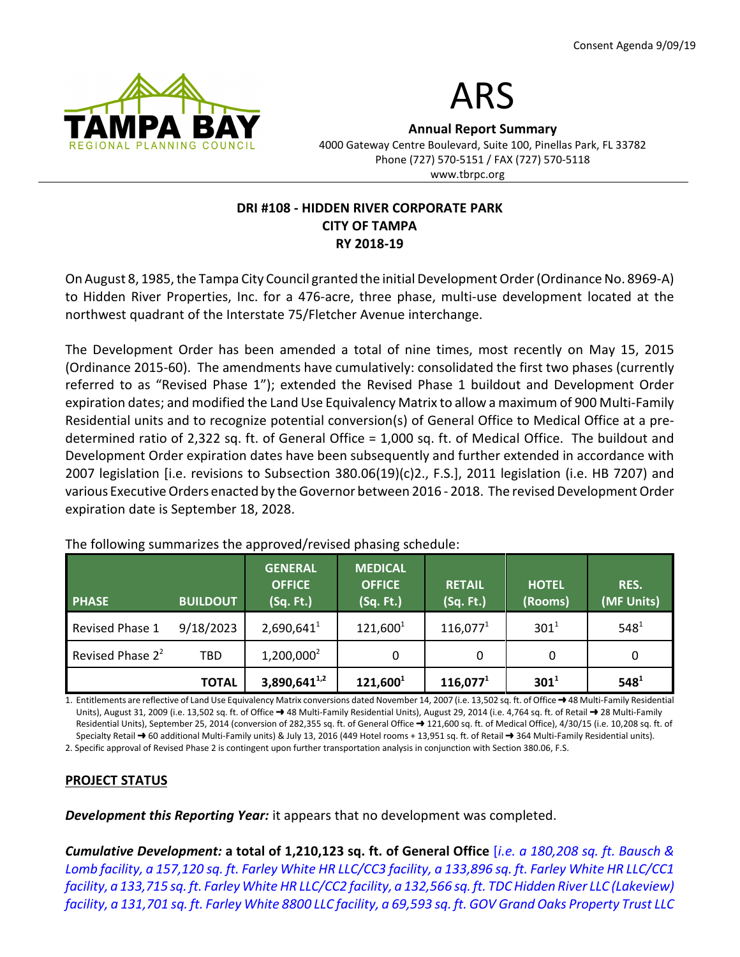



Annual Report Summary

4000 Gateway Centre Boulevard, Suite 100, Pinellas Park, FL 33782 Phone (727) 570-5151 / FAX (727) 570-5118 www.tbrpc.org

## DRI #108 - HIDDEN RIVER CORPORATE PARK CITY OF TAMPA RY 2018-19

On August 8, 1985, the Tampa City Council granted the initial Development Order (Ordinance No. 8969-A) to Hidden River Properties, Inc. for a 476-acre, three phase, multi-use development located at the northwest quadrant of the Interstate 75/Fletcher Avenue interchange.

The Development Order has been amended a total of nine times, most recently on May 15, 2015 (Ordinance 2015-60). The amendments have cumulatively: consolidated the first two phases (currently referred to as "Revised Phase 1"); extended the Revised Phase 1 buildout and Development Order expiration dates; and modified the Land Use Equivalency Matrix to allow a maximum of 900 Multi-Family Residential units and to recognize potential conversion(s) of General Office to Medical Office at a predetermined ratio of 2,322 sq. ft. of General Office = 1,000 sq. ft. of Medical Office. The buildout and Development Order expiration dates have been subsequently and further extended in accordance with 2007 legislation [i.e. revisions to Subsection 380.06(19)(c)2., F.S.], 2011 legislation (i.e. HB 7207) and various Executive Orders enacted by the Governor between 2016 - 2018. The revised Development Order expiration date is September 18, 2028.

The following summarizes the approved/revised phasing schedule:

| <b>PHASE</b>        | <b>BUILDOUT</b> | <b>GENERAL</b><br><b>OFFICE</b><br>(Sq. Ft.) | <b>MEDICAL</b><br><b>OFFICE</b><br>(Sq. Ft.) | <b>RETAIL</b><br>(Sq. Ft.) | <b>HOTEL</b><br>(Rooms) | RES.<br>(MF Units) |
|---------------------|-----------------|----------------------------------------------|----------------------------------------------|----------------------------|-------------------------|--------------------|
| Revised Phase 1     | 9/18/2023       | $2,690,641^1$                                | $121,600^1$                                  | $116,077^1$                | $301^{1}$               | $548^{1}$          |
| Revised Phase $2^2$ | <b>TBD</b>      | 1,200,000 <sup>2</sup>                       | 0                                            |                            | 0                       | 0                  |
|                     | <b>TOTAL</b>    | $3,890,641^{1,2}$                            | $121,600^1$                                  | $116,077^1$                | $301^1$                 | $548^{1}$          |

1. Entitlements are reflective of Land Use Equivalency Matrix conversions dated November 14, 2007 (i.e. 13,502 sq. ft. of Office  $\rightarrow$  48 Multi-Family Residential Units), August 31, 2009 (i.e. 13,502 sq. ft. of Office → 48 Multi-Family Residential Units), August 29, 2014 (i.e. 4,764 sq. ft. of Retail → 28 Multi-Family Residential Units), September 25, 2014 (conversion of 282,355 sq. ft. of General Office  $\rightarrow$  121,600 sq. ft. of Medical Office), 4/30/15 (i.e. 10,208 sq. ft. of Specialty Retail  $\rightarrow$  60 additional Multi-Family units) & July 13, 2016 (449 Hotel rooms + 13,951 sq. ft. of Retail  $\rightarrow$  364 Multi-Family Residential units).

2. Specific approval of Revised Phase 2 is contingent upon further transportation analysis in conjunction with Section 380.06, F.S.

# PROJECT STATUS

**Development this Reporting Year:** it appears that no development was completed.

Cumulative Development: a total of 1,210,123 sq. ft. of General Office *[i.e. a 180,208 sq. ft. Bausch &* Lomb facility, a 157,120 sq. ft. Farley White HR LLC/CC3 facility, a 133,896 sq. ft. Farley White HR LLC/CC1 facility, a 133,715 sq. ft. Farley White HR LLC/CC2 facility, a 132,566 sq. ft. TDC Hidden River LLC (Lakeview) facility, a 131,701 sq. ft. Farley White 8800 LLC facility, a 69,593 sq. ft. GOV Grand Oaks Property Trust LLC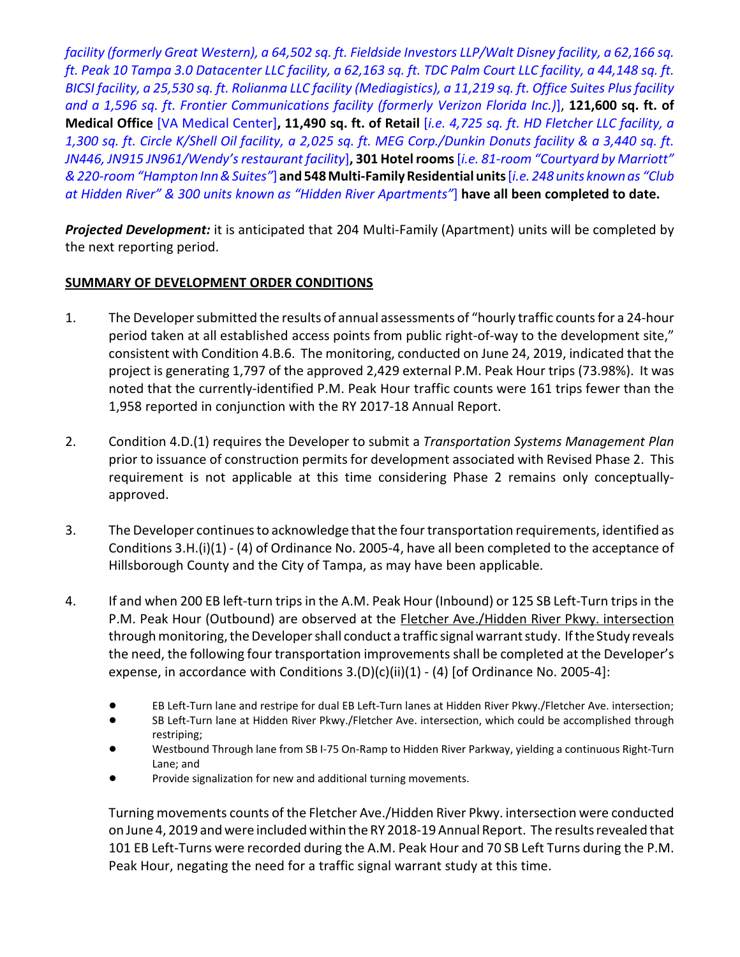facility (formerly Great Western), a 64,502 sq. ft. Fieldside Investors LLP/Walt Disney facility, a 62,166 sq. ft. Peak 10 Tampa 3.0 Datacenter LLC facility, a 62,163 sq. ft. TDC Palm Court LLC facility, a 44,148 sq. ft. BICSI facility, a 25,530 sq. ft. Rolianma LLC facility (Mediagistics), a 11,219 sq. ft. Office Suites Plus facility and a 1,596 sq. ft. Frontier Communications facility (formerly Verizon Florida Inc.)], 121,600 sq. ft. of Medical Office [VA Medical Center], 11,490 sq. ft. of Retail [i.e. 4,725 sq. ft. HD Fletcher LLC facility, a 1,300 sq. ft. Circle K/Shell Oil facility, a 2,025 sq. ft. MEG Corp./Dunkin Donuts facility & a 3,440 sq. ft. JN446, JN915 JN961/Wendy's restaurant facility], 301 Hotel rooms [i.e. 81-room "Courtyard by Marriott" & 220-room "Hampton Inn & Suites"] and 548 Multi-Family Residential units [i.e. 248 units known as "Club at Hidden River" & 300 units known as "Hidden River Apartments"] have all been completed to date.

Projected Development: it is anticipated that 204 Multi-Family (Apartment) units will be completed by the next reporting period.

# SUMMARY OF DEVELOPMENT ORDER CONDITIONS

- 1. The Developer submitted the results of annual assessments of "hourly traffic counts for a 24-hour period taken at all established access points from public right-of-way to the development site," consistent with Condition 4.B.6. The monitoring, conducted on June 24, 2019, indicated that the project is generating 1,797 of the approved 2,429 external P.M. Peak Hour trips (73.98%). It was noted that the currently-identified P.M. Peak Hour traffic counts were 161 trips fewer than the 1,958 reported in conjunction with the RY 2017-18 Annual Report.
- 2. Condition 4.D.(1) requires the Developer to submit a Transportation Systems Management Plan prior to issuance of construction permits for development associated with Revised Phase 2. This requirement is not applicable at this time considering Phase 2 remains only conceptuallyapproved.
- 3. The Developer continues to acknowledge that the four transportation requirements, identified as Conditions 3.H.(i)(1) - (4) of Ordinance No. 2005-4, have all been completed to the acceptance of Hillsborough County and the City of Tampa, as may have been applicable.
- 4. If and when 200 EB left-turn trips in the A.M. Peak Hour (Inbound) or 125 SB Left-Turn trips in the P.M. Peak Hour (Outbound) are observed at the Fletcher Ave./Hidden River Pkwy. intersection through monitoring, the Developer shall conduct a traffic signal warrant study. If the Study reveals the need, the following four transportation improvements shall be completed at the Developer's expense, in accordance with Conditions  $3.(D)(c)(ii)(1) - (4)$  [of Ordinance No. 2005-4]:
	- ! EB Left-Turn lane and restripe for dual EB Left-Turn lanes at Hidden River Pkwy./Fletcher Ave. intersection;
	- ! SB Left-Turn lane at Hidden River Pkwy./Fletcher Ave. intersection, which could be accomplished through restriping;
	- Westbound Through lane from SB I-75 On-Ramp to Hidden River Parkway, yielding a continuous Right-Turn Lane; and
	- Provide signalization for new and additional turning movements.

Turning movements counts of the Fletcher Ave./Hidden River Pkwy. intersection were conducted on June 4, 2019 and were included within the RY 2018-19 Annual Report. The results revealed that 101 EB Left-Turns were recorded during the A.M. Peak Hour and 70 SB Left Turns during the P.M. Peak Hour, negating the need for a traffic signal warrant study at this time.